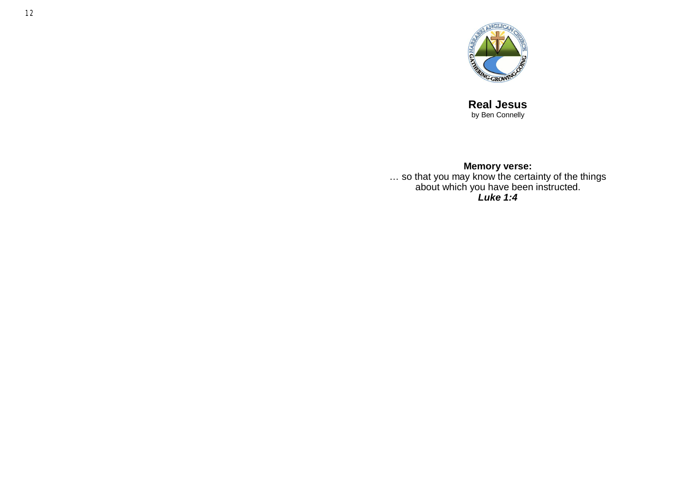

**Real Jesus** by Ben Connelly

#### **Memory verse:**

… so that you may know the certainty of the things about which you have been instructed. *Luke 1:4*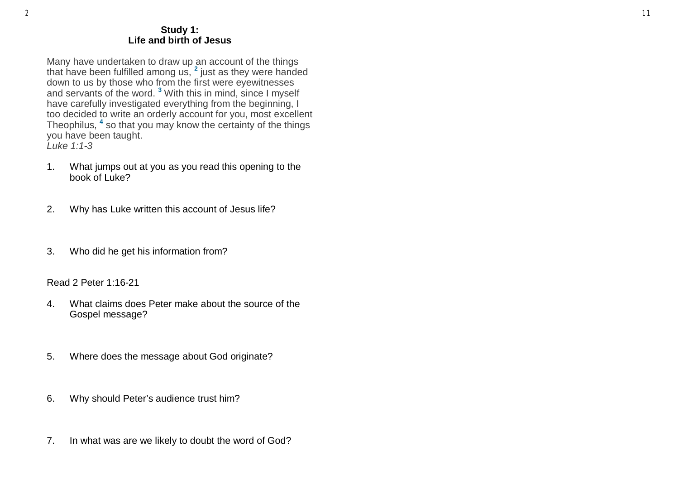#### **Study 1: Life and birth of Jesus**

Many have undertaken to draw up an account of the things that have been fulfilled among us, **<sup>2</sup>** just as they were handed down to us by those who from the first were eyewitnesses and servants of the word. **<sup>3</sup>** With this in mind, since I myself have carefully investigated everything from the beginning, I too decided to write an orderly account for you, most excellent Theophilus, **<sup>4</sup>** so that you may know the certainty of the things you have been taught. *Luke 1:1-3*

- 1. What jumps out at you as you read this opening to the book of Luke?
- 2. Why has Luke written this account of Jesus life?
- 3. Who did he get his information from?

Read 2 Peter 1:16-21

- 4. What claims does Peter make about the source of the Gospel message?
- 5. Where does the message about God originate?
- 6. Why should Peter's audience trust him?
- 7. In what was are we likely to doubt the word of God?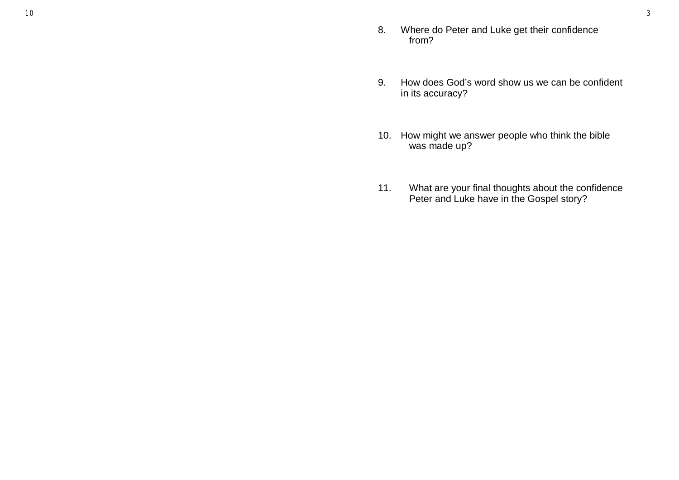- 8. Where do Peter and Luke get their confidence from?
- 9. How does God's word show us we can be confident in its accuracy?
- 10. How might we answer people who think the bible was made up?
- 11. What are your final thoughts about the confidence Peter and Luke have in the Gospel story?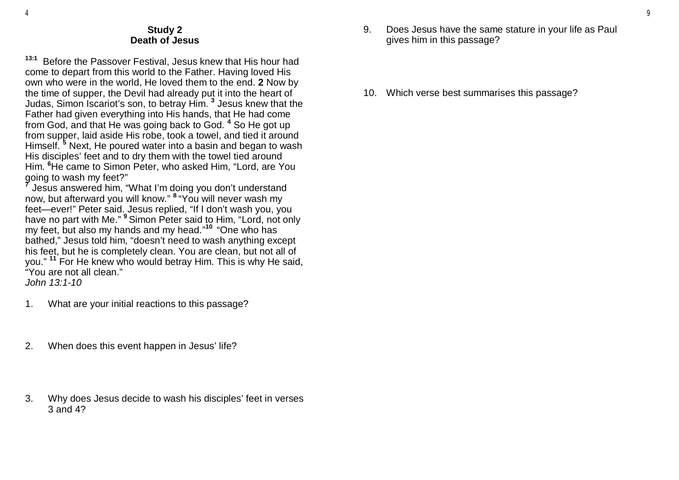## **Study 2 Death of Jesus**

**13:1** Before the Passover Festival, Jesus knew that His hour had come to depart from this world to the Father. Having loved His own who were in the world, He loved them to the end. **2** Now by the time of supper, the Devil had already put it into the heart of Judas, Simon Iscariot's son, to betray Him. **<sup>3</sup>** Jesus knew that the Father had given everything into His hands, that He had come from God, and that He was going back to God. **<sup>4</sup>** So He got up from supper, laid aside His robe, took a towel, and tied it around Himself. **<sup>5</sup>** Next, He poured water into a basin and began to wash His disciples' feet and to dry them with the towel tied around Him. **<sup>6</sup>**He came to Simon Peter, who asked Him, "Lord, are You going to wash my feet?"

**7** Jesus answered him, "What I'm doing you don't understand now, but afterward you will know." **<sup>8</sup>** "You will never wash my feet—ever!" Peter said. Jesus replied, "If I don't wash you, you have no part with Me." **<sup>9</sup>** Simon Peter said to Him, "Lord, not only my feet, but also my hands and my head." **10**  "One who has bathed," Jesus told him, "doesn't need to wash anything except his feet, but he is completely clean. You are clean, but not all of you." **<sup>11</sup>** For He knew who would betray Him. This is why He said, "You are not all clean."

*John 13:1-10*

- 1. What are your initial reactions to this passage?
- 2. When does this event happen in Jesus' life?
- 3. Why does Jesus decide to wash his disciples' feet in verses 3 and 4?
- 9. Does Jesus have the same stature in your life as Paul gives him in this passage?
- 10. Which verse best summarises this passage?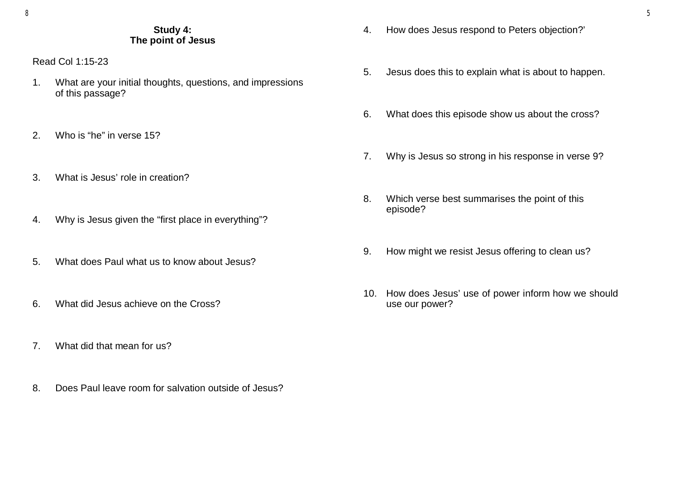# **Study 4: The point of Jesus**

Read Col 1:15-23

- 1. What are your initial thoughts, questions, and impressions of this passage?
- 2. Who is "he" in verse 15?
- 3. What is Jesus' role in creation?
- 4. Why is Jesus given the "first place in everything"?
- 5. What does Paul what us to know about Jesus?
- 6. What did Jesus achieve on the Cross?
- 7. What did that mean for us?
- 8. Does Paul leave room for salvation outside of Jesus?
- 4. How does Jesus respond to Peters objection?'
- 5. Jesus does this to explain what is about to happen.
- 6. What does this episode show us about the cross?
- 7. Why is Jesus so strong in his response in verse 9?
- 8. Which verse best summarises the point of this episode?
- 9. How might we resist Jesus offering to clean us?
- 10. How does Jesus' use of power inform how we should use our power?